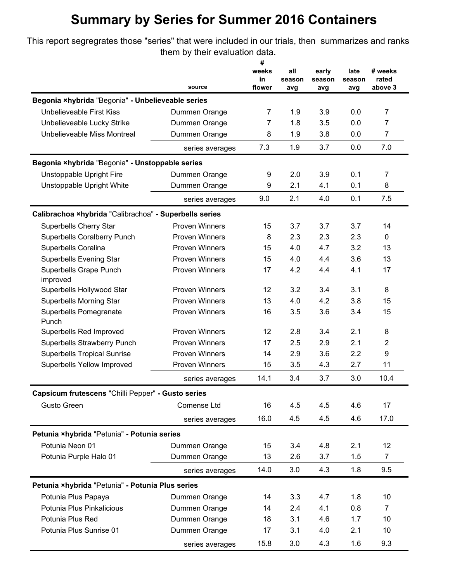## **Summary by Series for Summer 2016 Containers**

This report segregrates those "series" that were included in our trials, then summarizes and ranks them by their evaluation data.

|                                                        | source                | #            | all           | early         | late          |                  |
|--------------------------------------------------------|-----------------------|--------------|---------------|---------------|---------------|------------------|
|                                                        |                       | weeks        |               |               |               | # weeks          |
|                                                        |                       | in<br>flower | season<br>avg | season<br>avg | season<br>avg | rated<br>above 3 |
| Begonia ×hybrida "Begonia" - Unbelieveable series      |                       |              |               |               |               |                  |
| <b>Unbelieveable First Kiss</b>                        | Dummen Orange         | 7            | 1.9           | 3.9           | 0.0           | $\overline{7}$   |
| Unbelieveable Lucky Strike                             | Dummen Orange         | 7            | 1.8           | 3.5           | 0.0           | 7                |
| Unbelieveable Miss Montreal                            | Dummen Orange         | 8            | 1.9           | 3.8           | 0.0           | 7                |
|                                                        | series averages       | 7.3          | 1.9           | 3.7           | 0.0           | 7.0              |
|                                                        |                       |              |               |               |               |                  |
| Begonia ×hybrida "Begonia" - Unstoppable series        |                       |              |               |               |               |                  |
| Unstoppable Upright Fire                               | Dummen Orange         | 9            | 2.0           | 3.9           | 0.1           | $\overline{7}$   |
| Unstoppable Upright White                              | Dummen Orange         | 9            | 2.1           | 4.1           | 0.1           | 8                |
|                                                        | series averages       | 9.0          | 2.1           | 4.0           | 0.1           | 7.5              |
| Calibrachoa ×hybrida "Calibrachoa" - Superbells series |                       |              |               |               |               |                  |
| <b>Superbells Cherry Star</b>                          | <b>Proven Winners</b> | 15           | 3.7           | 3.7           | 3.7           | 14               |
| <b>Superbells Coralberry Punch</b>                     | <b>Proven Winners</b> | 8            | 2.3           | 2.3           | 2.3           | 0                |
| Superbells Coralina                                    | <b>Proven Winners</b> | 15           | 4.0           | 4.7           | 3.2           | 13               |
| <b>Superbells Evening Star</b>                         | <b>Proven Winners</b> | 15           | 4.0           | 4.4           | 3.6           | 13               |
| Superbells Grape Punch<br>improved                     | <b>Proven Winners</b> | 17           | 4.2           | 4.4           | 4.1           | 17               |
| Superbells Hollywood Star                              | <b>Proven Winners</b> | 12           | 3.2           | 3.4           | 3.1           | 8                |
| <b>Superbells Morning Star</b>                         | <b>Proven Winners</b> | 13           | 4.0           | 4.2           | 3.8           | 15               |
| Superbells Pomegranate<br>Punch                        | <b>Proven Winners</b> | 16           | 3.5           | 3.6           | 3.4           | 15               |
| Superbells Red Improved                                | <b>Proven Winners</b> | 12           | 2.8           | 3.4           | 2.1           | 8                |
| Superbells Strawberry Punch                            | <b>Proven Winners</b> | 17           | 2.5           | 2.9           | 2.1           | $\overline{2}$   |
| <b>Superbells Tropical Sunrise</b>                     | <b>Proven Winners</b> | 14           | 2.9           | 3.6           | 2.2           | 9                |
| Superbells Yellow Improved                             | <b>Proven Winners</b> | 15           | 3.5           | 4.3           | 2.7           | 11               |
|                                                        | series averages       | 14.1         | 3.4           | 3.7           | 3.0           | 10.4             |
| Capsicum frutescens "Chilli Pepper" - Gusto series     |                       |              |               |               |               |                  |
| <b>Gusto Green</b>                                     | Comense Ltd           | 16           | 4.5           | 4.5           | 4.6           | 17               |
|                                                        | series averages       | 16.0         | 4.5           | 4.5           | 4.6           | 17.0             |
| Petunia ×hybrida "Petunia" - Potunia series            |                       |              |               |               |               |                  |
| Potunia Neon 01                                        | Dummen Orange         | 15           | 3.4           | 4.8           | 2.1           | 12               |
| Potunia Purple Halo 01                                 | Dummen Orange         | 13           | 2.6           | 3.7           | 1.5           | 7                |
|                                                        | series averages       | 14.0         | 3.0           | 4.3           | 1.8           | 9.5              |
| Petunia ×hybrida "Petunia" - Potunia Plus series       |                       |              |               |               |               |                  |
| Potunia Plus Papaya                                    | Dummen Orange         | 14           | 3.3           | 4.7           | 1.8           | 10               |
| Potunia Plus Pinkalicious                              | Dummen Orange         | 14           | 2.4           | 4.1           | 0.8           | 7                |
| Potunia Plus Red                                       | Dummen Orange         | 18           | 3.1           | 4.6           | 1.7           | 10               |
| Potunia Plus Sunrise 01                                | Dummen Orange         | 17           | 3.1           | 4.0           | 2.1           | 10               |
|                                                        |                       | 15.8         | 3.0           | 4.3           | 1.6           | 9.3              |
|                                                        | series averages       |              |               |               |               |                  |